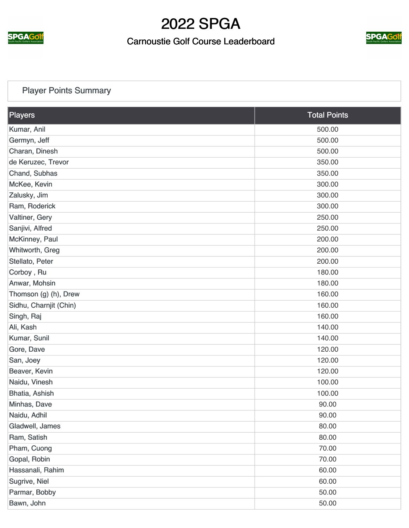

### Carnoustie Golf Course Leaderboard



## [Player Points Summary](https://static.golfgenius.com/v2tournaments/total_points?league_id=287068&round_id=896696)

| Players                | <b>Total Points</b> |
|------------------------|---------------------|
| Kumar, Anil            | 500.00              |
| Germyn, Jeff           | 500.00              |
| Charan, Dinesh         | 500.00              |
| de Keruzec, Trevor     | 350.00              |
| Chand, Subhas          | 350.00              |
| McKee, Kevin           | 300.00              |
| Zalusky, Jim           | 300.00              |
| Ram, Roderick          | 300.00              |
| Valtiner, Gery         | 250.00              |
| Sanjivi, Alfred        | 250.00              |
| McKinney, Paul         | 200.00              |
| Whitworth, Greg        | 200.00              |
| Stellato, Peter        | 200.00              |
| Corboy, Ru             | 180.00              |
| Anwar, Mohsin          | 180.00              |
| Thomson (g) (h), Drew  | 160.00              |
| Sidhu, Charnjit (Chin) | 160.00              |
| Singh, Raj             | 160.00              |
| Ali, Kash              | 140.00              |
| Kumar, Sunil           | 140.00              |
| Gore, Dave             | 120.00              |
| San, Joey              | 120.00              |
| Beaver, Kevin          | 120.00              |
| Naidu, Vinesh          | 100.00              |
| Bhatia, Ashish         | 100.00              |
| Minhas, Dave           | 90.00               |
| Naidu, Adhil           | 90.00               |
| Gladwell, James        | 80.00               |
| Ram, Satish            | 80.00               |
| Pham, Cuong            | 70.00               |
| Gopal, Robin           | 70.00               |
| Hassanali, Rahim       | 60.00               |
| Sugrive, Niel          | 60.00               |
| Parmar, Bobby          | 50.00               |
| Bawn, John             | 50.00               |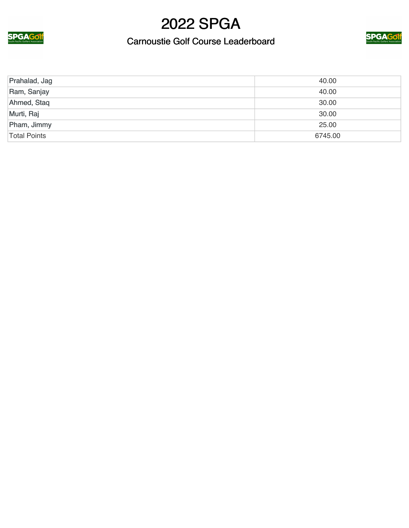

### Carnoustie Golf Course Leaderboard



| Prahalad, Jag       | 40.00   |
|---------------------|---------|
| Ram, Sanjay         | 40.00   |
| Ahmed, Staq         | 30.00   |
| Murti, Raj          | 30.00   |
| Pham, Jimmy         | 25.00   |
| <b>Total Points</b> | 6745.00 |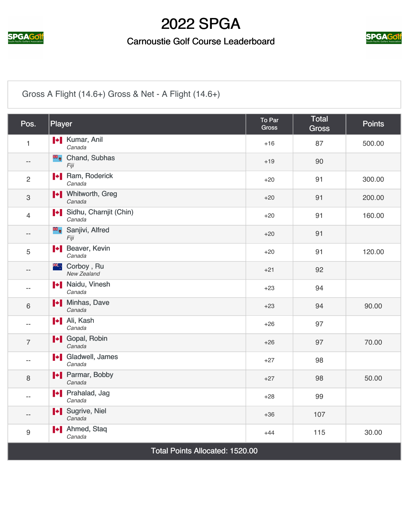

### Carnoustie Golf Course Leaderboard



## [Gross A Flight \(14.6+\) Gross & Net - A Flight \(14.6+\)](https://static.golfgenius.com/v2tournaments/2537840?called_from=&round_index=7)

| Pos.                                   | Player                                           | To Par<br><b>Gross</b> | <b>Total</b><br><b>Gross</b> | <b>Points</b> |
|----------------------------------------|--------------------------------------------------|------------------------|------------------------------|---------------|
| $\mathbf{1}$                           | <b>*</b> Kumar, Anil<br>Canada                   | $+16$                  | 87                           | 500.00        |
| $- -$                                  | <b>E</b> Chand, Subhas<br>Fiji                   | $+19$                  | 90                           |               |
| 2                                      | <b>I</b> Ram, Roderick<br>Canada                 | $+20$                  | 91                           | 300.00        |
| 3                                      | <b>I</b> Vhitworth, Greg<br>Canada               | $+20$                  | 91                           | 200.00        |
| 4                                      | Sidhu, Charnjit (Chin)<br>Canada                 | $+20$                  | 91                           | 160.00        |
| $- -$                                  | Sanjivi, Alfred<br>Fiji                          | $+20$                  | 91                           |               |
| 5                                      | <b>I</b> Beaver, Kevin<br>Canada                 | $+20$                  | 91                           | 120.00        |
| $- -$                                  | <sup>**</sup> : Corboy, Ru<br><b>New Zealand</b> | $+21$                  | 92                           |               |
| $-$                                    | <b>I</b> Naidu, Vinesh<br>Canada                 | $+23$                  | 94                           |               |
| 6                                      | I Minhas, Dave<br>Canada                         | $+23$                  | 94                           | 90.00         |
| $-$                                    | <b>I</b> Ali, Kash<br>Canada                     | $+26$                  | 97                           |               |
| $\overline{7}$                         | I Gopal, Robin<br>Canada                         | $+26$                  | 97                           | 70.00         |
| $-$                                    | Gladwell, James<br>Canada                        | $+27$                  | 98                           |               |
| 8                                      | Parmar, Bobby<br>Canada                          | $+27$                  | 98                           | 50.00         |
| $-$                                    | <b>I</b> Prahalad, Jag<br>Canada                 | $+28$                  | 99                           |               |
| --                                     | <b>I</b> Sugrive, Niel<br>Canada                 | $+36$                  | 107                          |               |
| 9                                      | <b>I</b> Ahmed, Staq<br>Canada                   | $+44$                  | 115                          | 30.00         |
| <b>Total Points Allocated: 1520.00</b> |                                                  |                        |                              |               |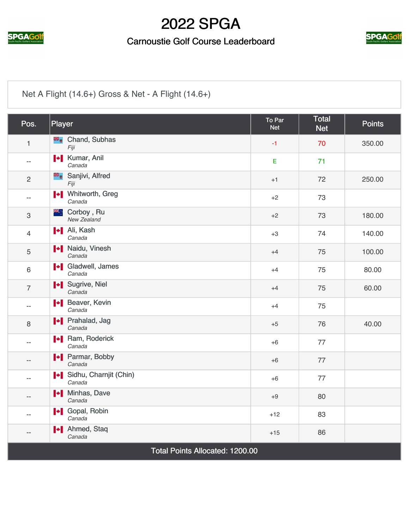

### Carnoustie Golf Course Leaderboard



## [Net A Flight \(14.6+\) Gross & Net - A Flight \(14.6+\)](https://static.golfgenius.com/v2tournaments/2537841?called_from=&round_index=7)

| Pos.                                   | Player                                    | To Par<br><b>Net</b> | <b>Total</b><br><b>Net</b> | <b>Points</b> |
|----------------------------------------|-------------------------------------------|----------------------|----------------------------|---------------|
| $\mathbf{1}$                           | <b>E</b> Chand, Subhas<br>Fiji            | $-1$                 | 70                         | 350.00        |
| $-$                                    | <b>I</b> Kumar, Anil<br>Canada            | E                    | 71                         |               |
| $\overline{2}$                         | Sanjivi, Alfred<br>Fiji                   | $+1$                 | 72                         | 250.00        |
| $-$                                    | <b>I</b> ◆ Mhitworth, Greg<br>Canada      | $+2$                 | 73                         |               |
| $\ensuremath{\mathsf{3}}$              | <sup>**</sup> ∴ Corboy, Ru<br>New Zealand | $+2$                 | 73                         | 180.00        |
| $\overline{4}$                         | <b>I</b> Ali, Kash<br>Canada              | $+3$                 | 74                         | 140.00        |
| $\sqrt{5}$                             | Naidu, Vinesh<br>Canada                   | $+4$                 | 75                         | 100.00        |
| 6                                      | <b>I</b> Gladwell, James<br>Canada        | $+4$                 | 75                         | 80.00         |
| $\overline{7}$                         | I Sugrive, Niel<br>Canada                 | $+4$                 | 75                         | 60.00         |
| --                                     | Beaver, Kevin<br>Canada                   | $+4$                 | 75                         |               |
| 8                                      | <b>I</b> Prahalad, Jag<br>Canada          | $+5$                 | 76                         | 40.00         |
| $\overline{\phantom{a}}$               | <b>Nam, Roderick</b><br>Canada            | $+6$                 | 77                         |               |
| $-$                                    | Parmar, Bobby<br>Canada                   | $+6$                 | 77                         |               |
| $-$                                    | Sidhu, Charnjit (Chin)<br>Canada          | $+6$                 | 77                         |               |
| $-$                                    | <b>I</b> Minhas, Dave<br>Canada           | $+9$                 | 80                         |               |
| $-$                                    | I Gopal, Robin<br>Canada                  | $+12$                | 83                         |               |
| $-$                                    | <b>I</b> Ahmed, Staq<br>Canada            | $+15$                | 86                         |               |
| <b>Total Points Allocated: 1200.00</b> |                                           |                      |                            |               |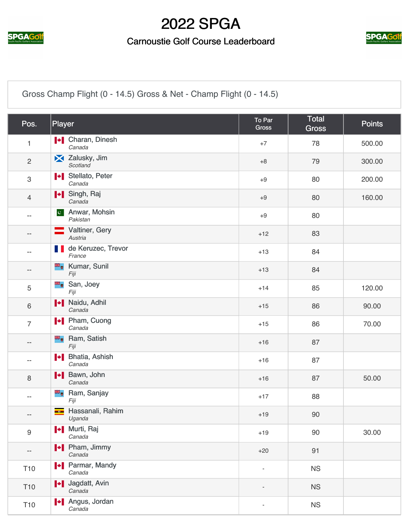

### Carnoustie Golf Course Leaderboard



[Gross Champ Flight \(0 - 14.5\) Gross & Net - Champ Flight \(0 - 14.5\)](https://static.golfgenius.com/v2tournaments/2537867?called_from=&round_index=7)

| Pos.            | Player                                                             | To Par<br><b>Gross</b>   | Total<br><b>Gross</b> | <b>Points</b> |
|-----------------|--------------------------------------------------------------------|--------------------------|-----------------------|---------------|
| 1               | <b>I</b> Charan, Dinesh<br>Canada                                  | $+7$                     | 78                    | 500.00        |
| $\overline{c}$  | X Zalusky, Jim<br>Scotland                                         | $+8$                     | 79                    | 300.00        |
| 3               | Stellato, Peter<br>Canada                                          | $+9$                     | 80                    | 200.00        |
| $\overline{4}$  | I Singh, Raj<br>Canada                                             | $+9$                     | 80                    | 160.00        |
| --              | Anwar, Mohsin<br>$ {\bf c}^{\scriptscriptstyle \top} $<br>Pakistan | $+9$                     | 80                    |               |
| $- -$           | Valtiner, Gery<br>Austria                                          | $+12$                    | 83                    |               |
| $-$             | de Keruzec, Trevor<br><b>TERRIT</b><br>France                      | $+13$                    | 84                    |               |
| --              | <b>E</b> Kumar, Sunil<br>Fiji                                      | $+13$                    | 84                    |               |
| 5               | ×,<br>San, Joey<br>Fiji                                            | $+14$                    | 85                    | 120.00        |
| 6               | I Naidu, Adhil<br>Canada                                           | $+15$                    | 86                    | 90.00         |
| $\overline{7}$  | <b>I</b> Pham, Cuong<br>Canada                                     | $+15$                    | 86                    | 70.00         |
| ÷               | <b>E</b> , Ram, Satish<br>Fiji                                     | $+16$                    | 87                    |               |
| ÷               | H Bhatia, Ashish<br>Canada                                         | $+16$                    | 87                    |               |
| 8               | I + Bawn, John<br>Canada                                           | $+16$                    | 87                    | 50.00         |
| --              | <b>E</b> Ram, Sanjay<br>Fiji                                       | $+17$                    | 88                    |               |
| --              | Hassanali, Rahim<br>Uganda                                         | $+19$                    | 90                    |               |
| 9               | I Murti, Raj<br>Canada                                             | $+19$                    | 90                    | 30.00         |
| --              | <b>I</b> Pham, Jimmy<br>Canada                                     | $+20$                    | 91                    |               |
| T <sub>10</sub> | <b>+</b> Parmar, Mandy<br>Canada                                   | $\overline{\phantom{a}}$ | <b>NS</b>             |               |
| T <sub>10</sub> | I Jagdatt, Avin<br>Canada                                          |                          | <b>NS</b>             |               |
| T <sub>10</sub> | <b>I</b> Angus, Jordan<br>Canada                                   | ÷,                       | <b>NS</b>             |               |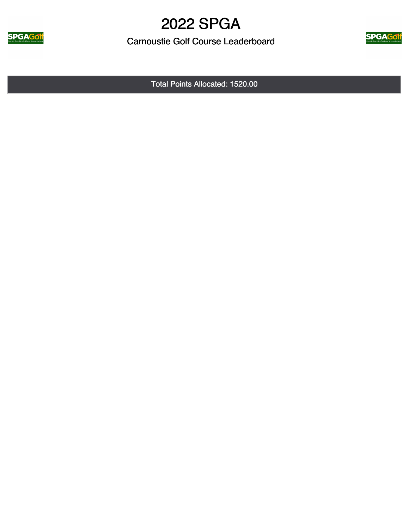

Carnoustie Golf Course Leaderboard



Total Points Allocated: 1520.00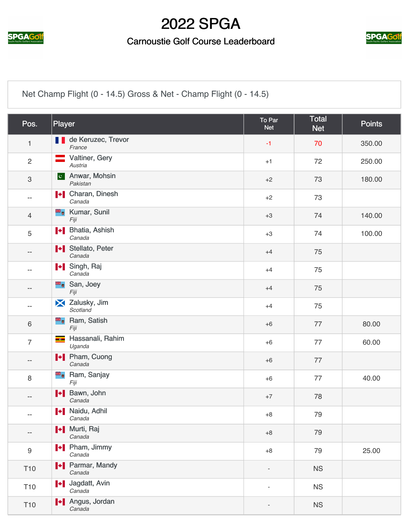

### Carnoustie Golf Course Leaderboard



[Net Champ Flight \(0 - 14.5\) Gross & Net - Champ Flight \(0 - 14.5\)](https://static.golfgenius.com/v2tournaments/2537868?called_from=&round_index=7)

| Pos.                      | Player                                    | To Par<br><b>Net</b> | <b>Total</b><br><b>Net</b> | <b>Points</b> |
|---------------------------|-------------------------------------------|----------------------|----------------------------|---------------|
| $\mathbf{1}$              | <b>de Keruzec, Trevor</b><br>France       | $-1$                 | 70                         | 350.00        |
| $\overline{2}$            | Valtiner, Gery<br>$\equiv$<br>Austria     | $+1$                 | 72                         | 250.00        |
| $\ensuremath{\mathsf{3}}$ | Anwar, Mohsin<br> c <br>Pakistan          | $+2$                 | 73                         | 180.00        |
| --                        | <b>I</b> Charan, Dinesh<br>Canada         | $+2$                 | 73                         |               |
| $\overline{4}$            | <b>E</b> Kumar, Sunil<br>Fiji             | $+3$                 | 74                         | 140.00        |
| $\sqrt{5}$                | <b>I+</b> Bhatia, Ashish<br>Canada        | $+3$                 | 74                         | 100.00        |
| --                        | Stellato, Peter<br>Canada                 | $+4$                 | 75                         |               |
| $\qquad \qquad -$         | I Singh, Raj<br>Canada                    | $+4$                 | 75                         |               |
| $\qquad \qquad -$         | San, Joey<br>Fiji                         | $+4$                 | 75                         |               |
| $\qquad \qquad -$         | X Zalusky, Jim<br>Scotland                | $+4$                 | 75                         |               |
| $\,6$                     | Ram, Satish<br>äk,<br>Fiji                | $+6$                 | 77                         | 80.00         |
| $\overline{7}$            | Hassanali, Rahim<br>$-2$<br>Uganda        | $+6$                 | 77                         | 60.00         |
| $\qquad \qquad -$         | I Pham, Cuong<br>Canada                   | $+6$                 | 77                         |               |
| 8                         | <b>E</b> <sub>o</sub> Ram, Sanjay<br>Fiji | $+6$                 | 77                         | 40.00         |
| $\qquad \qquad -$         | <b>+</b> Bawn, John<br>Canada             | $+7$                 | 78                         |               |
| $- -$                     | Naidu, Adhil<br>Canada                    | $+8$                 | 79                         |               |
| $\qquad \qquad -$         | I Murti, Raj<br>Canada                    | $+8$                 | 79                         |               |
| $\boldsymbol{9}$          | <b>I</b> Pham, Jimmy<br>Canada            | $+8$                 | 79                         | 25.00         |
| <b>T10</b>                | Parmar, Mandy<br>Canada                   |                      | <b>NS</b>                  |               |
| <b>T10</b>                | <b>I</b> Jagdatt, Avin<br>Canada          | $\blacksquare$       | <b>NS</b>                  |               |
| T <sub>10</sub>           | <b>I</b> Angus, Jordan<br>Canada          |                      | <b>NS</b>                  |               |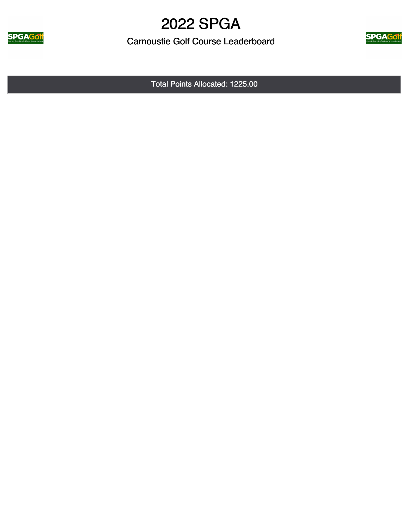

Carnoustie Golf Course Leaderboard



Total Points Allocated: 1225.00